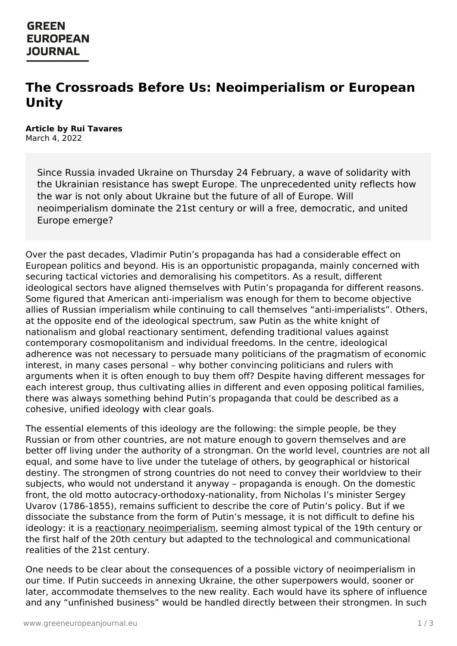## **GREEN EUROPEAN JOURNAL**

# **The Crossroads Before Us: Neoimperialism or European Unity**

#### **Article by Rui Tavares** March 4, 2022

Since Russia invaded Ukraine on Thursday 24 February, a wave of solidarity with the Ukrainian resistance has swept Europe. The unprecedented unity reflects how the war is not only about Ukraine but the future of all of Europe. Will neoimperialism dominate the 21st century or will a free, democratic, and united Europe emerge?

Over the past decades, Vladimir Putin's propaganda has had a considerable effect on European politics and beyond. His is an opportunistic propaganda, mainly concerned with securing tactical victories and demoralising his competitors. As a result, different ideological sectors have aligned themselves with Putin's propaganda for different reasons. Some figured that American anti-imperialism was enough for them to become objective allies of Russian imperialism while continuing to call themselves "anti-imperialists". Others, at the opposite end of the ideological spectrum, saw Putin as the white knight of nationalism and global reactionary sentiment, defending traditional values against contemporary cosmopolitanism and individual freedoms. In the centre, ideological adherence was not necessary to persuade many politicians of the pragmatism of economic interest, in many cases personal – why bother convincing politicians and rulers with arguments when it is often enough to buy them off? Despite having different messages for each interest group, thus cultivating allies in different and even opposing political families, there was always something behind Putin's propaganda that could be described as a cohesive, unified ideology with clear goals.

The essential elements of this ideology are the following: the simple people, be they Russian or from other countries, are not mature enough to govern themselves and are better off living under the authority of a strongman. On the world level, countries are not all equal, and some have to live under the tutelage of others, by geographical or historical destiny. The strongmen of strong countries do not need to convey their worldview to their subjects, who would not understand it anyway – propaganda is enough. On the domestic front, the old motto autocracy-orthodoxy-nationality, from Nicholas I's minister Sergey Uvarov (1786-1855), remains sufficient to describe the core of Putin's policy. But if we dissociate the substance from the form of Putin's message, it is not difficult to define his ideology: it is a reactionary [neoimperialism](https://www.greeneuropeanjournal.eu/the-return-of-the-brezhnev-doctrine/), seeming almost typical of the 19th century or the first half of the [20th](https://www.greeneuropeanjournal.eu) century but adapted to the technological and communicational realities of the 21st century.

One needs to be clear about the consequences of a possible victory of neoimperialism in our time. If Putin succeeds in annexing Ukraine, the other superpowers would, sooner or later, accommodate themselves to the new reality. Each would have its sphere of influence and any "unfinished business" would be handled directly between their strongmen. In such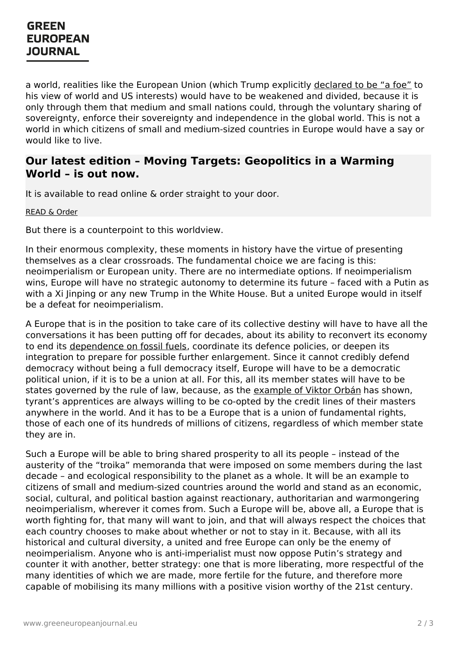#### **GREEN EUROPEAN JOURNAL**

a world, realities like the European Union (which Trump explicitly [declared](https://www.theguardian.com/us-news/2018/jul/15/donald-trump-vladimir-putin-helsinki-russia-indictments) to be "a foe" to his view of world and US interests) would have to be weakened and divided, because it is only through them that medium and small nations could, through the voluntary sharing of sovereignty, enforce their sovereignty and independence in the global world. This is not a world in which citizens of small and medium-sized countries in Europe would have a say or would like to live.

#### **Our latest edition – Moving Targets: Geopolitics in a Warming World – is out now.**

It is available to read online & order straight to your door.

[READ](https://www.greeneuropeanjournal.eu/edition/moving-targets/) & Order

But there is a counterpoint to this worldview.

In their enormous complexity, these moments in history have the virtue of presenting themselves as a clear crossroads. The fundamental choice we are facing is this: neoimperialism or European unity. There are no intermediate options. If neoimperialism wins, Europe will have no strategic autonomy to determine its future – faced with a Putin as with a Xi Jinping or any new Trump in the White House. But a united Europe would in itself be a defeat for neoimperialism.

A Europe that is in the position to take care of its collective destiny will have to have all the conversations it has been putting off for decades, about its ability to reconvert its economy to end its [dependence](https://www.greeneuropeanjournal.eu/will-ecology-expand-the-eus-horizons/) on fossil fuels, coordinate its defence policies, or deepen its integration to prepare for possible further enlargement. Since it cannot credibly defend democracy without being a full democracy itself, Europe will have to be a democratic political union, if it is to be a union at all. For this, all its member states will have to be states governed by the rule of law, because, as the [example](https://www.greeneuropeanjournal.eu/the-kremlins-loyal-friends-in-europe/) of Viktor Orbán has shown, tyrant's apprentices are always willing to be co-opted by the credit lines of their masters anywhere in the world. And it has to be a Europe that is a union of fundamental rights, those of each one of its hundreds of millions of citizens, regardless of which member state they are in.

Such a Europe will be able to bring shared prosperity to all its people – instead of the austerity of the "troika" memoranda that were imposed on some members during the last decade – and ecological responsibility to the planet as a whole. It will be an example to citizens of small and medium-sized countries around the world and stand as an economic, social, cultural, and political bastion against reactionary, authoritarian and warmongering neoimperialism, wherever it comes from. Such a Europe will be, above all, a Europe that is worth fighting for, that many will want to join, and that will always respect the choices that each country chooses to make about whether or not to stay in it. Because, with all its [historical](https://www.greeneuropeanjournal.eu) and cultural diversity, a united and free Europe can only be the enemy of neoimperialism. Anyone who is anti-imperialist must now oppose Putin's strategy and counter it with another, better strategy: one that is more liberating, more respectful of the many identities of which we are made, more fertile for the future, and therefore more capable of mobilising its many millions with a positive vision worthy of the 21st century.